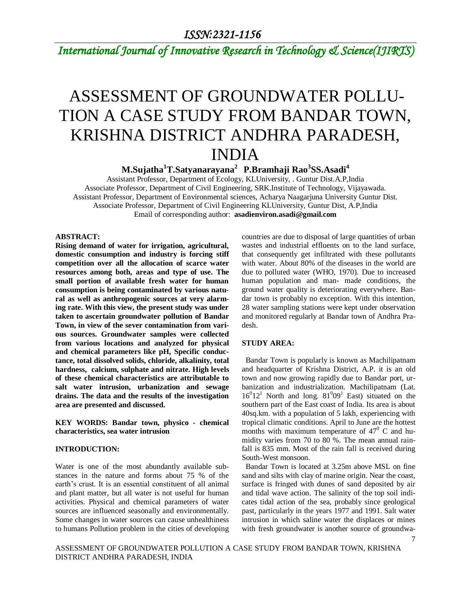*International Journal of Innovative Research in Technology & Science(IJIRTS)*

# ASSESSMENT OF GROUNDWATER POLLU-TION A CASE STUDY FROM BANDAR TOWN, KRISHNA DISTRICT ANDHRA PARADESH, INDIA

**M.Sujatha<sup>1</sup>T.Satyanarayana<sup>2</sup>P.Bramhaji Rao<sup>3</sup> SS.Asadi<sup>4</sup>**

Assistant Professor, Department of Ecology, KLUniversity, . Guntur Dist.A.P,India Associate Professor, Department of Civil Engineering, SRK.Institute of Technology, Vijayawada. Assistant Professor, Department of Environmental sciences, Acharya Naagarjuna University Guntur Dist. Associate Professor, Department of Civil Engineering KLUniversity, Guntur Dist, A.P,India Email of corresponding author: **asadienviron.asadi@gmail.com**

### **ABSTRACT:**

**Rising demand of water for irrigation, agricultural, domestic consumption and industry is forcing stiff competition over all the allocation of scarce water resources among both, areas and type of use. The small portion of available fresh water for human consumption is being contaminated by various natural as well as anthropogenic sources at very alarming rate. With this view, the present study was under taken to ascertain groundwater pollution of Bandar Town, in view of the sever contamination from various sources. Groundwater samples were collected from various locations and analyzed for physical and chemical parameters like pH, Specific conductance, total dissolved solids, chloride, alkalinity, total hardness, calcium, sulphate and nitrate. High levels of these chemical characteristics are attributable to salt water intrusion, urbanization and sewage drains. The data and the results of the investigation area are presented and discussed.**

**KEY WORDS: Bandar town, physico - chemical characteristics, sea water intrusion**

### **INTRODUCTION:**

Water is one of the most abundantly available substances in the nature and forms about 75 % of the earth's crust. It is an essential constituent of all animal and plant matter, but all water is not useful for human activities. Physical and chemical parameters of water sources are influenced seasonally and environmentally. Some changes in water sources can cause unhealthiness to humans Pollution problem in the cities of developing countries are due to disposal of large quantities of urban wastes and industrial effluents on to the land surface, that consequently get infiltrated with these pollutants with water. About 80% of the diseases in the world are due to polluted water (WHO, 1970). Due to increased human population and man- made conditions, the ground water quality is deteriorating everywhere. Bandar town is probably no exception. With this intention, 28 water sampling stations were kept under observation and monitored regularly at Bandar town of Andhra Pradesh.

#### **STUDY AREA:**

 Bandar Town is popularly is known as Machilipatnam and headquarter of Krishna District, A.P. it is an old town and now growing rapidly due to Bandar port, urbanization and industrialization. Machilipatnam (Lat.  $16^{0}12^{1}$  North and long.  $81^{0}09^{1}$  East) situated on the southern part of the East coast of India. Its area is about 40sq.km. with a population of 5 lakh, experiencing with tropical climatic conditions. April to June are the hottest months with maximum temperature of  $47^{\circ}$  C and humidity varies from 70 to 80 %. The mean annual rainfall is 835 mm. Most of the rain fall is received during South-West monsoon.

 Bandar Town is located at 3.25m above MSL on fine sand and silts with clay of marine origin. Near the coast, surface is fringed with dunes of sand deposited by air and tidal wave action. The salinity of the top soil indicates tidal action of the sea, probably since geological past, particularly in the years 1977 and 1991. Salt water intrusion in which saline water the displaces or mines with fresh groundwater is another source of groundwa-

ASSESSMENT OF GROUNDWATER POLLUTION A CASE STUDY FROM BANDAR TOWN, KRISHNA DISTRICT ANDHRA PARADESH, INDIA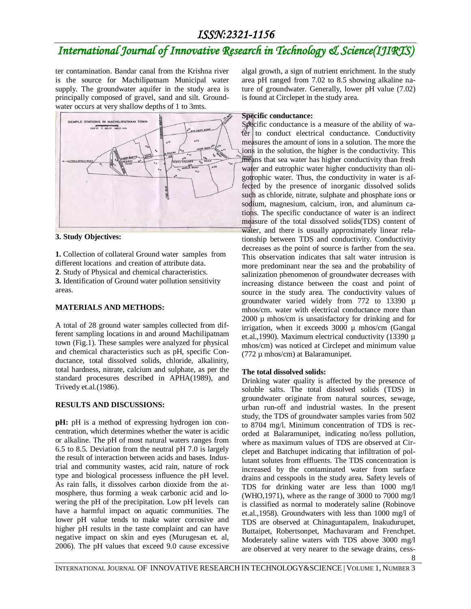## *International Journal of Innovative Research in Technology & Science(IJIRTS)*

ter contamination. Bandar canal from the Krishna river is the source for Machilipatnam Municipal water supply. The groundwater aquifer in the study area is principally composed of gravel, sand and silt. Groundwater occurs at very shallow depths of 1 to 3mts.



### **3. Study Objectives:**

**1.** Collection of collateral Ground water samples from different locations and creation of attribute data. **2**. Study of Physical and chemical characteristics. **3.** Identification of Ground water pollution sensitivity areas.

### **MATERIALS AND METHODS:**

A total of 28 ground water samples collected from different sampling locations in and around Machilipatnam town (Fig.1). These samples were analyzed for physical and chemical characteristics such as pH, specific Conductance, total dissolved solids, chloride, alkalinity, total hardness, nitrate, calcium and sulphate, as per the standard procesures described in APHA(1989), and Trivedy et.al.(1986).

### **RESULTS AND DISCUSSIONS:**

**pH:** pH is a method of expressing hydrogen ion concentration, which determines whether the water is acidic or alkaline. The pH of most natural waters ranges from 6.5 to 8.5. Deviation from the neutral pH 7.0 is largely the result of interaction between acids and bases. Industrial and community wastes, acid rain, nature of rock type and biological processess influence the pH level. As rain falls, it dissolves carbon dioxide from the atmosphere, thus forming a weak carbonic acid and lowering the pH of the precipitation. Low pH levels can have a harmful impact on aquatic communities. The lower pH value tends to make water corrosive and higher pH results in the taste complaint and can have negative impact on skin and eyes (Murugesan et. al, 2006). The pH values that exceed 9.0 cause excessive

algal growth, a sign of nutrient enrichment. In the study area pH ranged from 7.02 to 8.5 showing alkaline nature of groundwater. Generally, lower pH value (7.02) is found at Circlepet in the study area.

### **Specific conductance:**

Specific conductance is a measure of the ability of wa $f_{\text{er}}$  to conduct electrical conductance. Conductivity measures the amount of ions in a solution. The more the ions in the solution, the higher is the conductivity. This means that sea water has higher conductivity than fresh water and eutrophic water higher conductivity than oligotrophic water. Thus, the conductivity in water is affected by the presence of inorganic dissolved solids such as chloride, nitrate, sulphate and phosphate ions or sodium, magnesium, calcium, iron, and aluminum cations. The specific conductance of water is an indirect measure of the total dissolved solids(TDS) content of water, and there is usually approximately linear relationship between TDS and conductivity. Conductivity decreases as the point of source is farther from the sea. This observation indicates that salt water intrusion is more predominant near the sea and the probability of salinization phenomenon of groundwater decreases with increasing distance between the coast and point of source in the study area. The conductivity values of groundwater varied widely from 772 to 13390 µ mhos/cm. water with electrical conductance more than 2000 µ mhos/cm is unsatisfactory for drinking and for irrigation, when it exceeds 3000 µ mhos/cm (Gangal et.al.,1990). Maximum electrical conductivity (13390 µ mhos/cm) was noticed at Circlepet and minimum value (772 µ mhos/cm) at Balaramunipet.

### **The total dissolved solids:**

Drinking water quality is affected by the presence of soluble salts. The total dissolved solids (TDS) in groundwater originate from natural sources, sewage, urban run-off and industrial wastes. In the present study, the TDS of groundwater samples varies from 502 to 8704 mg/l. Minimum concentration of TDS is recorded at Balaramunipet, indicating no/less pollution, where as maximum values of TDS are observed at Circlepet and Batchupet indicating that infiltration of pollutant solutes from effluents. The TDS concentration is increased by the contaminated water from surface drains and cesspools in the study area. Safety levels of TDS for drinking water are less than 1000 mg/l (WHO,1971), where as the range of 3000 to 7000 mg/l is classified as normal to moderately saline (Robinove et.al.,1958). Groundwaters with less than 1000 mg/l of TDS are observed at Chinaguntapalem, Inakudurupet, Buttaipet, Robertsonpet, Machavaram and Frenchpet. Moderately saline waters with TDS above 3000 mg/l are observed at very nearer to the sewage drains, cess-

8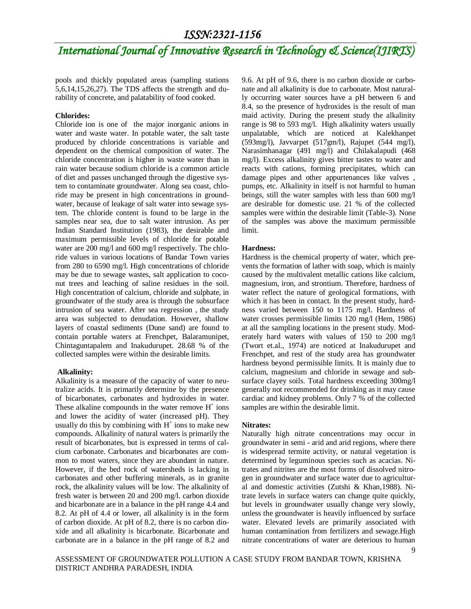## *International Journal of Innovative Research in Technology & Science(IJIRTS)*

pools and thickly populated areas (sampling stations 5,6,14,15,26,27). The TDS affects the strength and durability of concrete, and palatability of food cooked.

#### **Chlorides:**

Chloride ion is one of the major inorganic anions in water and waste water. In potable water, the salt taste produced by chloride concentrations is variable and dependent on the chemical composition of water. The chloride concentration is higher in waste water than in rain water because sodium chloride is a common article of diet and passes unchanged through the digestive system to contaminate groundwater. Along sea coast, chloride may be present in high concentrations in groundwater, because of leakage of salt water into sewage system. The chloride content is found to be large in the samples near sea, due to salt water intrusion. As per Indian Standard Institution (1983), the desirable and maximum permissible levels of chloride for potable water are 200 mg/l and 600 mg/l respectively. The chloride values in various locations of Bandar Town varies from 280 to 6590 mg/l. High concentrations of chloride may be due to sewage wastes, salt application to coconut trees and leaching of saline residues in the soil. High concentration of calcium, chloride and sulphate, in groundwater of the study area is through the subsurface intrusion of sea water. After sea regression , the study area was subjected to denudation. However, shallow layers of coastal sediments (Dune sand) are found to contain portable waters at Frenchpet, Balaramunipet, Chintaguntapalem and Inakudurupet. 28.68 % of the collected samples were within the desirable limits.

#### **Alkalinity:**

Alkalinity is a measure of the capacity of water to neutralize acids. It is primarily determine by the presence of bicarbonates, carbonates and hydroxides in water. These alkaline compounds in the water remove  $H^+$  ions and lower the acidity of water (increased pH). They usually do this by combining with  $H^+$  ions to make new compounds. Alkalinity of natural waters is primarily the result of bicarbonates, but is expressed in terms of calcium carbonate. Carbonates and bicarbonates are common to most waters, since they are abundant in nature. However, if the bed rock of watersheds is lacking in carbonates and other buffering minerals, as in granite rock, the alkalinity values will be low. The alkalinity of fresh water is between 20 and 200 mg/l. carbon dioxide and bicarbonate are in a balance in the pH range 4.4 and 8.2. At pH of 4.4 or lower, all alkalinity is in the form of carbon dioxide. At pH of 8.2, there is no carbon dioxide and all alkalinity is bicarbonate. Bicarbonate and carbonate are in a balance in the pH range of 8.2 and

9.6. At pH of 9.6, there is no carbon dioxide or carbonate and all alkalinity is due to carbonate. Most naturally occurring water sources have a pH between 6 and 8.4, so the presence of hydroxides is the result of man maid activity. During the present study the alkalinity range is 98 to 593 mg/l. High alkalinity waters usually unpalatable, which are noticed at Kalekhanpet (593mg/l), Javvarpet (517gm/l), Rajupet (544 mg/l), Narasimhanagar (491 mg/l) and Chilakalapudi (468 mg/l). Excess alkalinity gives bitter tastes to water and reacts with cations, forming precipitates, which can damage pipes and other appurtenances like valves , pumps, etc. Alkalinity in itself is not harmful to human beings, still the water samples with less than 600 mg/l are desirable for domestic use. 21 % of the collected samples were within the desirable limit (Table-3). None of the samples was above the maximum permissible limit.

#### **Hardness:**

Hardness is the chemical property of water, which prevents the formation of lather with soap, which is mainly caused by the multivalent metallic cations like calcium, magnesium, iron, and strontium. Therefore, hardness of water reflect the nature of geological formations, with which it has been in contact. In the present study, hardness varied between 150 to 1175 mg/l. Hardness of water crosses permissible limits 120 mg/l (Hem, 1986) at all the sampling locations in the present study. Moderately hard waters with values of 150 to 200 mg/l (Twort et.al., 1974) are noticed at Inakudurupet and Frenchpet, and rest of the study area has groundwater hardness beyond permissible limits. It is mainly due to calcium, magnesium and chloride in sewage and subsurface clayey soils. Total hardness exceeding 300mg/l generally not recommended for drinking as it may cause cardiac and kidney problems. Only 7 % of the collected samples are within the desirable limit.

#### **Nitrates:**

Naturally high nitrate concentrations may occur in groundwater in semi - arid and arid regions, where there is widespread termite activity, or natural vegetation is determined by leguminous species such as acacias. Nitrates and nitrites are the most forms of dissolved nitrogen in groundwater and surface water due to agricultural and domestic activities (Zutshi & Khan,1988). Nitrate levels in surface waters can change quite quickly, but levels in groundwater usually change very slowly, unless the groundwater is heavily influenced by surface water. Elevated levels are primarily associated with human contamination from fertilizers and sewage.High nitrate concentrations of water are deterious to human

ASSESSMENT OF GROUNDWATER POLLUTION A CASE STUDY FROM BANDAR TOWN, KRISHNA DISTRICT ANDHRA PARADESH, INDIA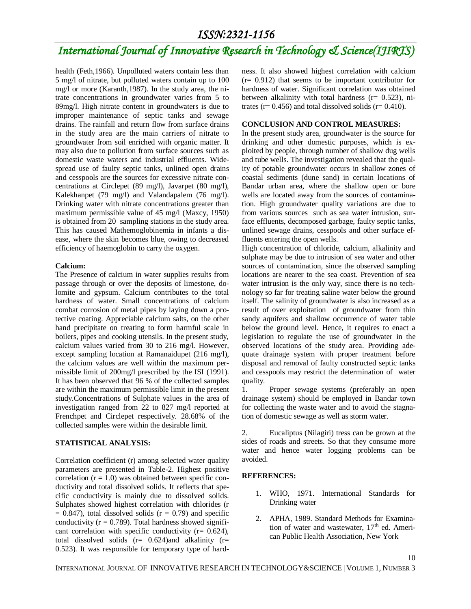## *International Journal of Innovative Research in Technology & Science(IJIRTS)*

health (Feth,1966). Unpolluted waters contain less than 5 mg/l of nitrate, but polluted waters contain up to 100 mg/l or more (Karanth,1987). In the study area, the nitrate concentrations in groundwater varies from 5 to 89mg/l. High nitrate content in groundwaters is due to improper maintenance of septic tanks and sewage drains. The rainfall and return flow from surface drains in the study area are the main carriers of nitrate to groundwater from soil enriched with organic matter. It may also due to pollution from surface sources such as domestic waste waters and industrial effluents. Widespread use of faulty septic tanks, unlined open drains and cesspools are the sources for excessive nitrate concentrations at Circlepet (89 mg/l), Javarpet (80 mg/l), Kalekhanpet (79 mg/l) and Valandapalem (76 mg/l). Drinking water with nitrate concentrations greater than maximum permissible value of 45 mg/l (Maxcy, 1950) is obtained from 20 sampling stations in the study area. This has caused Mathemoglobinemia in infants a disease, where the skin becomes blue, owing to decreased efficiency of haemoglobin to carry the oxygen.

### **Calcium:**

The Presence of calcium in water supplies results from passage through or over the deposits of limestone, dolomite and gypsum. Calcium contributes to the total hardness of water. Small concentrations of calcium combat corrosion of metal pipes by laying down a protective coating. Appreciable calcium salts, on the other hand precipitate on treating to form harmful scale in boilers, pipes and cooking utensils. In the present study, calcium values varied from 30 to 216 mg/l. However, except sampling location at Ramanaidupet (216 mg/l), the calcium values are well within the maximum permissible limit of 200mg/l prescribed by the ISI (1991). It has been observed that 96 % of the collected samples are within the maximum permissible limit in the present study.Concentrations of Sulphate values in the area of investigation ranged from 22 to 827 mg/l reported at Frenchpet and Circlepet respectively. 28.68% of the collected samples were within the desirable limit.

### **STATISTICAL ANALYSIS:**

Correlation coefficient (r) among selected water quality parameters are presented in Table-2. Highest positive correlation  $(r = 1.0)$  was obtained between specific conductivity and total dissolved solids. It reflects that specific conductivity is mainly due to dissolved solids. Sulphates showed highest correlation with chlorides (r  $= 0.847$ ), total dissolved solids ( $r = 0.79$ ) and specific conductivity ( $r = 0.789$ ). Total hardness showed significant correlation with specific conductivity ( $r = 0.624$ ), total dissolved solids  $(r= 0.624)$  and alkalinity  $(r=$ 0.523). It was responsible for temporary type of hardness. It also showed highest correlation with calcium  $(r= 0.912)$  that seems to be important contributor for hardness of water. Significant correlation was obtained between alkalinity with total hardness ( $r = 0.523$ ), nitrates ( $r = 0.456$ ) and total dissolved solids ( $r = 0.410$ ).

### **CONCLUSION AND CONTROL MEASURES:**

In the present study area, groundwater is the source for drinking and other domestic purposes, which is exploited by people, through number of shallow dug wells and tube wells. The investigation revealed that the quality of potable groundwater occurs in shallow zones of coastal sediments (dune sand) in certain locations of Bandar urban area, where the shallow open or bore wells are located away from the sources of contamination. High groundwater quality variations are due to from various sources such as sea water intrusion, surface effluents, decomposed garbage, faulty septic tanks, unlined sewage drains, cesspools and other surface effluents entering the open wells.

High concentration of chloride, calcium, alkalinity and sulphate may be due to intrusion of sea water and other sources of contamination, since the observed sampling locations are nearer to the sea coast. Prevention of sea water intrusion is the only way, since there is no technology so far for treating saline water below the ground itself. The salinity of groundwater is also increased as a result of over exploitation of groundwater from thin sandy aquifers and shallow occurrence of water table below the ground level. Hence, it requires to enact a legislation to regulate the use of groundwater in the observed locations of the study area. Providing adequate drainage system with proper treatment before disposal and removal of faulty constructed septic tanks and cesspools may restrict the determination of water quality.

1. Proper sewage systems (preferably an open drainage system) should be employed in Bandar town for collecting the waste water and to avoid the stagnation of domestic sewage as well as storm water.

2. Eucaliptus (Nilagiri) tress can be grown at the sides of roads and streets. So that they consume more water and hence water logging problems can be avoided.

### **REFERENCES:**

- 1. WHO, 1971. International Standards for Drinking water
- 2. APHA, 1989. Standard Methods for Examination of water and wastewater,  $17<sup>th</sup>$  ed. American Public Health Association, New York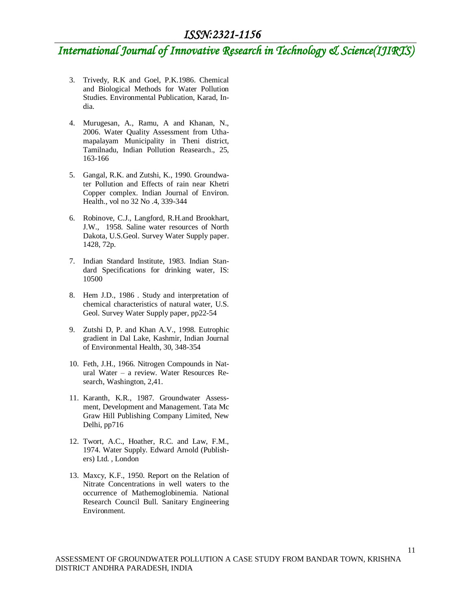## *International Journal of Innovative Research in Technology & Science(IJIRTS)*

- 3. Trivedy, R.K and Goel, P.K.1986. Chemical and Biological Methods for Water Pollution Studies. Environmental Publication, Karad, India.
- 4. Murugesan, A., Ramu, A and Khanan, N., 2006. Water Quality Assessment from Uthamapalayam Municipality in Theni district, Tamilnadu, Indian Pollution Reasearch., 25, 163-166
- 5. Gangal, R.K. and Zutshi, K., 1990. Groundwater Pollution and Effects of rain near Khetri Copper complex. Indian Journal of Environ. Health., vol no 32 No .4, 339-344
- 6. Robinove, C.J., Langford, R.H.and Brookhart, J.W., 1958. Saline water resources of North Dakota, U.S.Geol. Survey Water Supply paper. 1428, 72p.
- 7. Indian Standard Institute, 1983. Indian Standard Specifications for drinking water, IS: 10500
- 8. Hem J.D., 1986 . Study and interpretation of chemical characteristics of natural water, U.S. Geol. Survey Water Supply paper, pp22-54
- 9. Zutshi D, P. and Khan A.V., 1998. Eutrophic gradient in Dal Lake, Kashmir, Indian Journal of Environmental Health, 30, 348-354
- 10. Feth, J.H., 1966. Nitrogen Compounds in Natural Water – a review. Water Resources Research, Washington, 2,41.
- 11. Karanth, K.R., 1987. Groundwater Assessment, Development and Management. Tata Mc Graw Hill Publishing Company Limited, New Delhi, pp716
- 12. Twort, A.C., Hoather, R.C. and Law, F.M., 1974. Water Supply. Edward Arnold (Publishers) Ltd. , London
- 13. Maxcy, K.F., 1950. Report on the Relation of Nitrate Concentrations in well waters to the occurrence of Mathemoglobinemia. National Research Council Bull. Sanitary Engineering Environment.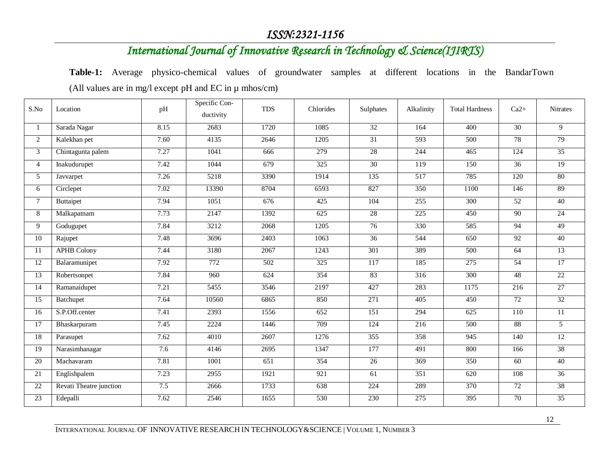## *International Journal of Innovative Research in Technology & Science(IJIRTS)*

**Table-1:** Average physico-chemical values of groundwater samples at different locations in the BandarTown (All values are in mg/l except pH and EC in µ mhos/cm)

| S.No            | Location                | pH   | Specific Con-<br>ductivity | <b>TDS</b> | Chlorides        | Sulphates | Alkalinity       | <b>Total Hardness</b> | $Ca2+$          | Nitrates        |
|-----------------|-------------------------|------|----------------------------|------------|------------------|-----------|------------------|-----------------------|-----------------|-----------------|
| 1               | Sarada Nagar            | 8.15 | 2683                       | 1720       | 1085             | 32        | 164              | 400                   | 30              | $\overline{9}$  |
| $\overline{2}$  | Kalekhan pet            | 7.60 | 4135                       | 2646       | 1205             | 31        | 593              | 500                   | 78              | 79              |
| $\mathfrak{Z}$  | Chintagunta palem       | 7.27 | 1041                       | 666        | 279              | 28        | 244              | 465                   | 124             | 35              |
| $\overline{4}$  | Inakudurupet            | 7.42 | 1044                       | 679        | 325              | 30        | 119              | 150                   | 36              | 19              |
| 5 <sup>1</sup>  | Javvarpet               | 7.26 | 5218                       | 3390       | 1914             | 135       | $\overline{517}$ | 785                   | 120             | 80              |
| 6               | Circlepet               | 7.02 | 13390                      | 8704       | 6593             | 827       | 350              | 1100                  | 146             | 89              |
| $7^{\circ}$     | Buttaipet               | 7.94 | 1051                       | 676        | 425              | 104       | 255              | 300                   | $\overline{52}$ | 40              |
| 8               | Malkapatnam             | 7.73 | 2147                       | 1392       | 625              | 28        | 225              | 450                   | 90              | 24              |
| 9               | Godugupet               | 7.84 | 3212                       | 2068       | 1205             | 76        | 330              | 585                   | 94              | 49              |
| 10              | Rajupet                 | 7.48 | 3696                       | 2403       | 1063             | 36        | 544              | 650                   | 92              | 40              |
| 11              | <b>APHB Colony</b>      | 7.44 | 3180                       | 2067       | 1243             | 301       | 389              | 500                   | 64              | 13              |
| 12              | Balaramunipet           | 7.92 | 772                        | 502        | 325              | 117       | 185              | 275                   | 54              | 17              |
| 13              | Robertsonpet            | 7.84 | 960                        | 624        | 354              | 83        | 316              | 300                   | 48              | 22              |
| 14              | Ramanaidupet            | 7.21 | 5455                       | 3546       | 2197             | 427       | 283              | 1175                  | 216             | 27              |
| 15              | Batchupet               | 7.64 | 10560                      | 6865       | 850              | 271       | 405              | 450                   | 72              | 32              |
| 16              | S.P.Off.center          | 7.41 | 2393                       | 1556       | 652              | 151       | 294              | 625                   | 110             | $\overline{11}$ |
| 17              | Bhaskarpuram            | 7.45 | 2224                       | 1446       | 709              | 124       | 216              | 500                   | 88              | 5 <sup>5</sup>  |
| 18              | Parasupet               | 7.62 | 4010                       | 2607       | 1276             | 355       | 358              | 945                   | 140             | 12              |
| 19              | Narasimhanagar          | 7.6  | 4146                       | 2695       | 1347             | 177       | 491              | 800                   | 166             | 38              |
| 20              | Machavaram              | 7.81 | 1001                       | 651        | 354              | 26        | 369              | 350                   | 60              | 40              |
| 21              | Englishpalem            | 7.23 | 2955                       | 1921       | $\overline{921}$ | 61        | 351              | 620                   | 108             | $\overline{36}$ |
| $\overline{22}$ | Revati Theatre junction | 7.5  | 2666                       | 1733       | 638              | 224       | 289              | 370                   | $\overline{72}$ | 38              |
| 23              | Edepalli                | 7.62 | 2546                       | 1655       | 530              | 230       | 275              | 395                   | 70              | 35              |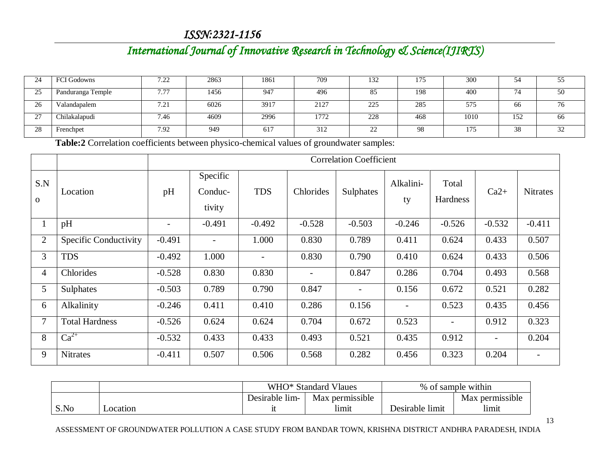## *International Journal of Innovative Research in Technology & Science(IJIRTS)*

| 24       | <b>FCI Godowns</b> | 7.22<br>ے ۔              | 2863 | 1861          | 709  | 132 | ت ا | 300  | 54     | JJ |
|----------|--------------------|--------------------------|------|---------------|------|-----|-----|------|--------|----|
| 25<br>رے | Panduranga Temple  | 7.77                     | 1456 | 947           | 496  | 85  | 198 | 400  | $\sim$ | 50 |
| 26       | Valandapalem       | 7 <sub>2</sub><br>$\sim$ | 6026 | 3917          | 2127 | 225 | 285 | 575  | 66     | 76 |
| $\sim$   | Chilakalapudi      | 7.46                     | 4609 | 2996          | 1772 | 228 | 468 | 1010 | 152    | 66 |
| 28       | Frenchpet          | 7.92                     | 949  | <sup>61</sup> | 312  | ∼   | 98  | 175  | 38     | 32 |

**Table:2** Correlation coefficients between physico-chemical values of groundwater samples:

|                     |                       | <b>Correlation Coefficient</b> |                               |                          |           |                          |                          |                          |          |                 |
|---------------------|-----------------------|--------------------------------|-------------------------------|--------------------------|-----------|--------------------------|--------------------------|--------------------------|----------|-----------------|
| S.N<br>$\mathbf{O}$ | Location              | pH                             | Specific<br>Conduc-<br>tivity | <b>TDS</b>               | Chlorides | Sulphates                | Alkalini-<br>ty          | Total<br>Hardness        | $Ca2+$   | <b>Nitrates</b> |
| $\perp$             | pH                    |                                | $-0.491$                      | $-0.492$                 | $-0.528$  | $-0.503$                 | $-0.246$                 | $-0.526$                 | $-0.532$ | $-0.411$        |
| $\overline{2}$      | Specific Conductivity | $-0.491$                       | -                             | 1.000                    | 0.830     | 0.789                    | 0.411                    | 0.624                    | 0.433    | 0.507           |
| $\overline{3}$      | <b>TDS</b>            | $-0.492$                       | 1.000                         | $\overline{\phantom{0}}$ | 0.830     | 0.790                    | 0.410                    | 0.624                    | 0.433    | 0.506           |
| 4                   | Chlorides             | $-0.528$                       | 0.830                         | 0.830                    |           | 0.847                    | 0.286                    | 0.704                    | 0.493    | 0.568           |
| 5                   | Sulphates             | $-0.503$                       | 0.789                         | 0.790                    | 0.847     | $\overline{\phantom{a}}$ | 0.156                    | 0.672                    | 0.521    | 0.282           |
| 6                   | Alkalinity            | $-0.246$                       | 0.411                         | 0.410                    | 0.286     | 0.156                    | $\overline{\phantom{a}}$ | 0.523                    | 0.435    | 0.456           |
| 7                   | <b>Total Hardness</b> | $-0.526$                       | 0.624                         | 0.624                    | 0.704     | 0.672                    | 0.523                    | $\overline{\phantom{a}}$ | 0.912    | 0.323           |
| 8                   | $Ca^{2+}$             | $-0.532$                       | 0.433                         | 0.433                    | 0.493     | 0.521                    | 0.435                    | 0.912                    |          | 0.204           |
| 9                   | <b>Nitrates</b>       | $-0.411$                       | 0.507                         | 0.506                    | 0.568     | 0.282                    | 0.456                    | 0.323                    | 0.204    |                 |

|      |          | WHO* Standard                                    | Vlaues | .<br>% of sample within |                          |  |
|------|----------|--------------------------------------------------|--------|-------------------------|--------------------------|--|
|      |          | $\cdots$<br>Max permissible<br>Desirable<br>-l1m |        |                         | <br>Max<br>: permissible |  |
| S.No | Location | π                                                | limit  | Desirable<br>limit      | limit                    |  |

ASSESSMENT OF GROUNDWATER POLLUTION A CASE STUDY FROM BANDAR TOWN, KRISHNA DISTRICT ANDHRA PARADESH, INDIA